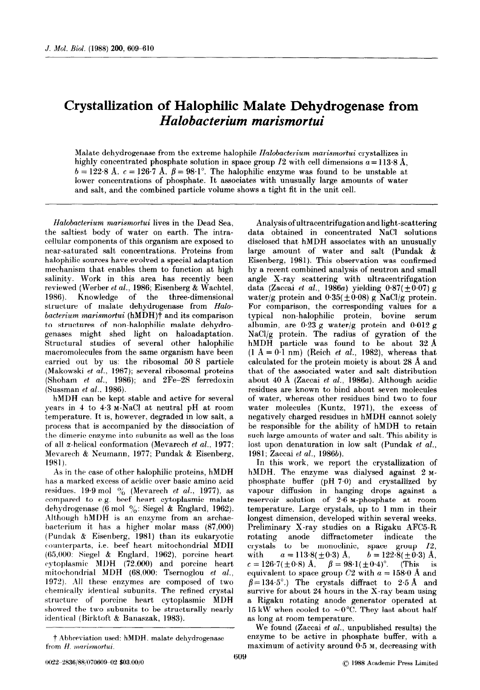## Crystallization of Halophilic Malate Dehydrogenase from Halobacterium marismortui

Malate dehydrogenase from the extreme halophile Halobacterium marismortui crystallizes in highly concentrated phosphate solution in space group I2 with cell dimensions  $a=113.8 \text{ Å}$ ,  $b = 122.8$  Å,  $c = 126.7$  Å,  $\beta = 98.1^{\circ}$ . The halophilic enzyme was found to be unstable at lower concentrations of phosphate. It associates with unusually large amounts of water and salt, and the combined particle volume shows a tight fit in the unit cell.

Halobacterium marismortui lives in the Dead Sea, the saltiest body of water on earth. The intracellular components of this organism are exposed to near-saturated salt concentrations. Proteins from halophilic sources have evolved a special adaptation mechanism that enables them to function at high salinity. Work in this area has recently been reviewed (Werber et al., 1986; Eisenberg & Wachtel, 1986). Knowledge of the three-dimensional structure of malate dehydrogenase from Halobacterium marismortui (hMDH) $\dagger$  and its comparison to structures of non-halophilic malate dehydrogenases might shed light on haloadaptation. Structural studies of several other halophilic macromolecules from the same organism have been carried out by us: the ribosomal 50 S particle (Makowski et al., 1987); several ribosomal proteins (Shoham et al., 1986); and 2Fe-2S ferredoxin (Sussman et al., 1986).

hMDH can be kept stable and active for several years in 4 to 4.3 M-NaCl at neutral pH at room temperature. Tt is, however, degraded in low salt, a process that is accompanied by the dissociation of the dimeric enzyme into subunits as well as the loss of all  $\alpha$ -helical conformation (Mevarech et al., 1977; Mevarech & Neumann, 1977; Pundak & Eisenberg, 1981).

As in the case of other halophilic proteins, hMDH has a marked excess of acidic over basic amino acid residues. 19.9 mol  $\%$  (Mevarech et al., 1977), as compared to e.g. beef heart cytoplasmic malate dehydrogenase (6 mol %: Siegel & Englard, 1962). Although hMDH is an enzyme from an archaebacterium it, has a higher molar mass (87,000)  $($  Pundak  $\&$  Eisenberg, 1981) than its eukaryotic counterparts, i.e. beef heart mitochondrial MDH (65,000: Siegel & Englard, 1962), porcine heart  $\text{cytoplasmic}$  MDH (72.000) and porcine heart mitochondrial MDH (68,000: Tsernoglou et al.,  $1972$ ). All these enzymes are composed of two chemically identical subunits. The refined crystal structure of porcine heart cytoplasmic MDH showed the two subunits to be structurally nearly identical (Birktoft & Banaszak, 1983).

Analysis of ultracentrifugation and light-scattering data obtained in concentrated NaCl solutions disclosed that hMDH associates with an unusually large amount of water and salt (Pundak & Eisenberg, 1981). This observation was confirmed by a recent combined analysis of neutron and small angle X-ray scattering with ultracentrifugation data (Zaccai et al., 1986a) yielding  $0.87(\pm 0.07)$  g water/g protein and  $0.35(\pm 0.08)$  g NaCl/g protein. For comparison, the corresponding values for a typical non-halophilic protein, bovine serum albumin, are  $0.23$  g water/g protein and  $0.012$  g NaCl/g protein. The radius of gyration of the hMDH particle was found to be about 32 A  $(1 \text{ Å} = 0.1 \text{ nm})$  (Reich et al., 1982), whereas that calculated for the protein moiety is about 28 A and that of the associated water and salt distribution about 40 Å (Zaccai et al., 1986a). Although acidic residues are known to bind about seven molecules of water, whereas other residues bind two to four water molecules (Kuntz, 1971), the excess of negatively charged residues in hMDH cannot solely be responsible for the ability of hMDH to retain such large amounts of water and salt. This ability is lost upon denaturation in low salt (Pundak et  $al$ . 1981; Zaccai et al., 1986b).

In this work, we report the crystallization of hMDH. The enzyme was dialysed against 2 Mphosphate buffer (pH 7-O) and crystallized by vapour diffusion in hanging drops against a reservoir solution of 2.6 M-phosphate at room temperature. Large crystals, up to 1 mm in their longest dimension, developed within several weeks. Preliminary X-ray studies on a Rigaku AFC5-R rotating anode diffractometer indicate the crystals to be monoclinic, space group 12, with  $a = 113.8(\pm 0.3)$  Å,  $b = 122.8(\pm 0.3)$  Å,  $c = 126.7(\pm 0.8)$  Å,  $\beta = 98.1(\pm 0.4)$ °. (This is equivalent to space group C2 with  $a = 158.0$  Å and  $\beta = 134.5^{\circ}$ .) The crystals diffract to 2.5 Å and survive for about 24 hours in the X-ray beam using a Rigaku rotating anode generator operated at 15 kW when cooled to  $\sim 0^{\circ}$ C. They last about half as long at room temperature.

We found (Zaccai et al., unpublished results) the enzyme to be active in phosphate buffer, with a maximum of activity around 0.5 M, decreasing with

t Abbreviation used: h.MDH, malate dehydrogenase from H. marismortui.